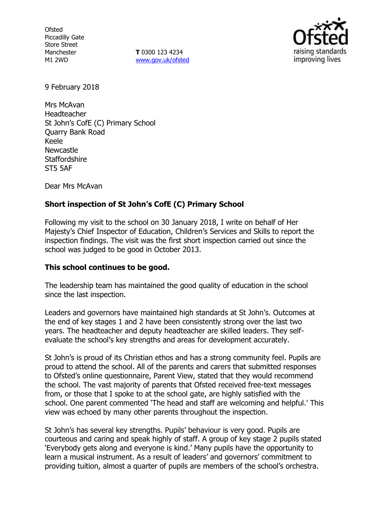**Ofsted** Piccadilly Gate Store Street Manchester M1 2WD

**T** 0300 123 4234 www.gov.uk/ofsted



9 February 2018

Mrs McAvan Headteacher St John's CofE (C) Primary School Quarry Bank Road Keele Newcastle **Staffordshire** ST5 5AF

Dear Mrs McAvan

# **Short inspection of St John's CofE (C) Primary School**

Following my visit to the school on 30 January 2018, I write on behalf of Her Majesty's Chief Inspector of Education, Children's Services and Skills to report the inspection findings. The visit was the first short inspection carried out since the school was judged to be good in October 2013.

# **This school continues to be good.**

The leadership team has maintained the good quality of education in the school since the last inspection.

Leaders and governors have maintained high standards at St John's. Outcomes at the end of key stages 1 and 2 have been consistently strong over the last two years. The headteacher and deputy headteacher are skilled leaders. They selfevaluate the school's key strengths and areas for development accurately.

St John's is proud of its Christian ethos and has a strong community feel. Pupils are proud to attend the school. All of the parents and carers that submitted responses to Ofsted's online questionnaire, Parent View, stated that they would recommend the school. The vast majority of parents that Ofsted received free-text messages from, or those that I spoke to at the school gate, are highly satisfied with the school. One parent commented 'The head and staff are welcoming and helpful.' This view was echoed by many other parents throughout the inspection.

St John's has several key strengths. Pupils' behaviour is very good. Pupils are courteous and caring and speak highly of staff. A group of key stage 2 pupils stated 'Everybody gets along and everyone is kind.' Many pupils have the opportunity to learn a musical instrument. As a result of leaders' and governors' commitment to providing tuition, almost a quarter of pupils are members of the school's orchestra.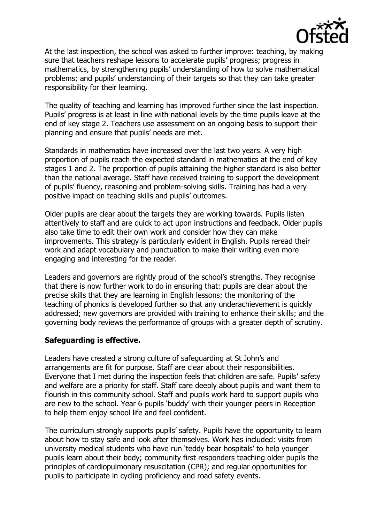

At the last inspection, the school was asked to further improve: teaching, by making sure that teachers reshape lessons to accelerate pupils' progress; progress in mathematics, by strengthening pupils' understanding of how to solve mathematical problems; and pupils' understanding of their targets so that they can take greater responsibility for their learning.

The quality of teaching and learning has improved further since the last inspection. Pupils' progress is at least in line with national levels by the time pupils leave at the end of key stage 2. Teachers use assessment on an ongoing basis to support their planning and ensure that pupils' needs are met.

Standards in mathematics have increased over the last two years. A very high proportion of pupils reach the expected standard in mathematics at the end of key stages 1 and 2. The proportion of pupils attaining the higher standard is also better than the national average. Staff have received training to support the development of pupils' fluency, reasoning and problem-solving skills. Training has had a very positive impact on teaching skills and pupils' outcomes.

Older pupils are clear about the targets they are working towards. Pupils listen attentively to staff and are quick to act upon instructions and feedback. Older pupils also take time to edit their own work and consider how they can make improvements. This strategy is particularly evident in English. Pupils reread their work and adapt vocabulary and punctuation to make their writing even more engaging and interesting for the reader.

Leaders and governors are rightly proud of the school's strengths. They recognise that there is now further work to do in ensuring that: pupils are clear about the precise skills that they are learning in English lessons; the monitoring of the teaching of phonics is developed further so that any underachievement is quickly addressed; new governors are provided with training to enhance their skills; and the governing body reviews the performance of groups with a greater depth of scrutiny.

# **Safeguarding is effective.**

Leaders have created a strong culture of safeguarding at St John's and arrangements are fit for purpose. Staff are clear about their responsibilities. Everyone that I met during the inspection feels that children are safe. Pupils' safety and welfare are a priority for staff. Staff care deeply about pupils and want them to flourish in this community school. Staff and pupils work hard to support pupils who are new to the school. Year 6 pupils 'buddy' with their younger peers in Reception to help them enjoy school life and feel confident.

The curriculum strongly supports pupils' safety. Pupils have the opportunity to learn about how to stay safe and look after themselves. Work has included: visits from university medical students who have run 'teddy bear hospitals' to help younger pupils learn about their body; community first responders teaching older pupils the principles of cardiopulmonary resuscitation (CPR); and regular opportunities for pupils to participate in cycling proficiency and road safety events.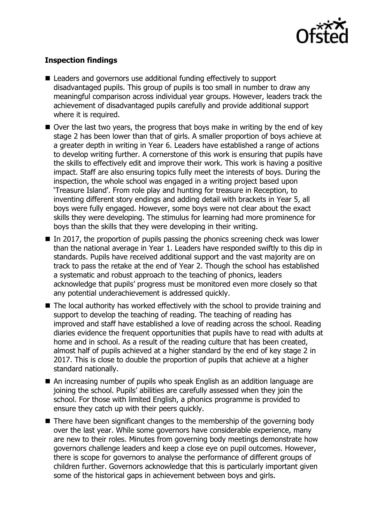

# **Inspection findings**

- Leaders and governors use additional funding effectively to support disadvantaged pupils. This group of pupils is too small in number to draw any meaningful comparison across individual year groups. However, leaders track the achievement of disadvantaged pupils carefully and provide additional support where it is required.
- $\blacksquare$  Over the last two years, the progress that boys make in writing by the end of key stage 2 has been lower than that of girls. A smaller proportion of boys achieve at a greater depth in writing in Year 6. Leaders have established a range of actions to develop writing further. A cornerstone of this work is ensuring that pupils have the skills to effectively edit and improve their work. This work is having a positive impact. Staff are also ensuring topics fully meet the interests of boys. During the inspection, the whole school was engaged in a writing project based upon 'Treasure Island'. From role play and hunting for treasure in Reception, to inventing different story endings and adding detail with brackets in Year 5, all boys were fully engaged. However, some boys were not clear about the exact skills they were developing. The stimulus for learning had more prominence for boys than the skills that they were developing in their writing.
- $\blacksquare$  In 2017, the proportion of pupils passing the phonics screening check was lower than the national average in Year 1. Leaders have responded swiftly to this dip in standards. Pupils have received additional support and the vast majority are on track to pass the retake at the end of Year 2. Though the school has established a systematic and robust approach to the teaching of phonics, leaders acknowledge that pupils' progress must be monitored even more closely so that any potential underachievement is addressed quickly.
- The local authority has worked effectively with the school to provide training and support to develop the teaching of reading. The teaching of reading has improved and staff have established a love of reading across the school. Reading diaries evidence the frequent opportunities that pupils have to read with adults at home and in school. As a result of the reading culture that has been created, almost half of pupils achieved at a higher standard by the end of key stage 2 in 2017. This is close to double the proportion of pupils that achieve at a higher standard nationally.
- An increasing number of pupils who speak English as an addition language are joining the school. Pupils' abilities are carefully assessed when they join the school. For those with limited English, a phonics programme is provided to ensure they catch up with their peers quickly.
- There have been significant changes to the membership of the governing body over the last year. While some governors have considerable experience, many are new to their roles. Minutes from governing body meetings demonstrate how governors challenge leaders and keep a close eye on pupil outcomes. However, there is scope for governors to analyse the performance of different groups of children further. Governors acknowledge that this is particularly important given some of the historical gaps in achievement between boys and girls.